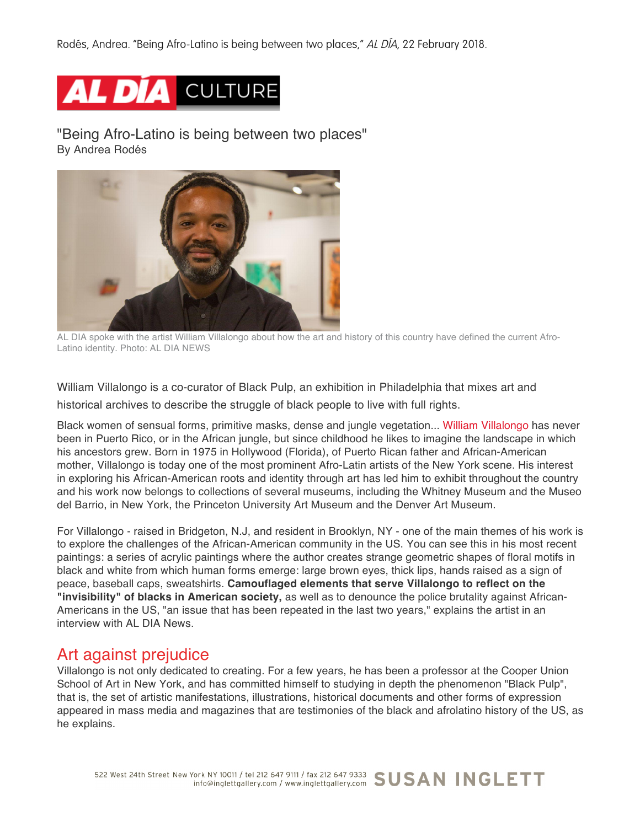Rodés, Andrea. "Being Afro-Latino is being between two places," AL DÍA, 22 February 2018.

# AL DIA CULTURE

"Being Afro-Latino is being between two places" By Andrea Rodés



AL DIA spoke with the artist William Villalongo about how the art and history of this country have defined the current Afro-Latino identity. Photo: AL DIA NEWS

William Villalongo is a co-curator of Black Pulp, an exhibition in Philadelphia that mixes art and

historical archives to describe the struggle of black people to live with full rights.

Black women of sensual forms, primitive masks, dense and jungle vegetation... William Villalongo has never been in Puerto Rico, or in the African jungle, but since childhood he likes to imagine the landscape in which his ancestors grew. Born in 1975 in Hollywood (Florida), of Puerto Rican father and African-American mother, Villalongo is today one of the most prominent Afro-Latin artists of the New York scene. His interest in exploring his African-American roots and identity through art has led him to exhibit throughout the country and his work now belongs to collections of several museums, including the Whitney Museum and the Museo del Barrio, in New York, the Princeton University Art Museum and the Denver Art Museum.

For Villalongo - raised in Bridgeton, N.J, and resident in Brooklyn, NY - one of the main themes of his work is to explore the challenges of the African-American community in the US. You can see this in his most recent paintings: a series of acrylic paintings where the author creates strange geometric shapes of floral motifs in black and white from which human forms emerge: large brown eyes, thick lips, hands raised as a sign of peace, baseball caps, sweatshirts. **Camouflaged elements that serve Villalongo to reflect on the "invisibility" of blacks in American society,** as well as to denounce the police brutality against African-Americans in the US, "an issue that has been repeated in the last two years," explains the artist in an interview with AL DIA News.

# Art against prejudice

Villalongo is not only dedicated to creating. For a few years, he has been a professor at the Cooper Union School of Art in New York, and has committed himself to studying in depth the phenomenon "Black Pulp", that is, the set of artistic manifestations, illustrations, historical documents and other forms of expression appeared in mass media and magazines that are testimonies of the black and afrolatino history of the US, as he explains.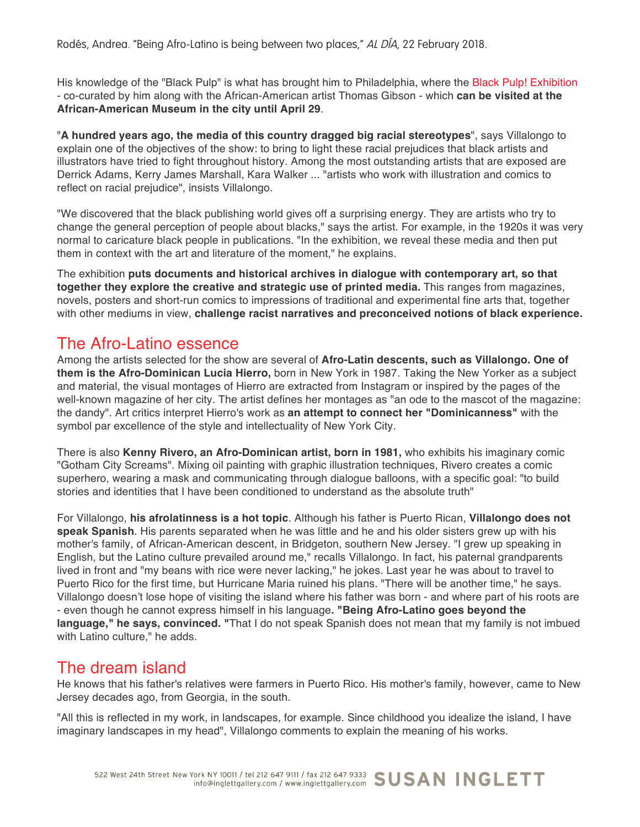Rodés, Andrea. "Being Afro-Latino is being between two places," AL DÍA, 22 February 2018.

His knowledge of the "Black Pulp" is what has brought him to Philadelphia, where the Black Pulp! Exhibition - co-curated by him along with the African-American artist Thomas Gibson - which **can be visited at the African-American Museum in the city until April 29**.

"**A hundred years ago, the media of this country dragged big racial stereotypes**", says Villalongo to explain one of the objectives of the show: to bring to light these racial prejudices that black artists and illustrators have tried to fight throughout history. Among the most outstanding artists that are exposed are Derrick Adams, Kerry James Marshall, Kara Walker ... "artists who work with illustration and comics to reflect on racial prejudice", insists Villalongo.

"We discovered that the black publishing world gives off a surprising energy. They are artists who try to change the general perception of people about blacks," says the artist. For example, in the 1920s it was very normal to caricature black people in publications. "In the exhibition, we reveal these media and then put them in context with the art and literature of the moment," he explains.

The exhibition **puts documents and historical archives in dialogue with contemporary art, so that together they explore the creative and strategic use of printed media.** This ranges from magazines, novels, posters and short-run comics to impressions of traditional and experimental fine arts that, together with other mediums in view, **challenge racist narratives and preconceived notions of black experience.**

### The Afro-Latino essence

Among the artists selected for the show are several of **Afro-Latin descents, such as Villalongo. One of them is the Afro-Dominican Lucia Hierro,** born in New York in 1987. Taking the New Yorker as a subject and material, the visual montages of Hierro are extracted from Instagram or inspired by the pages of the well-known magazine of her city. The artist defines her montages as "an ode to the mascot of the magazine: the dandy". Art critics interpret Hierro's work as **an attempt to connect her "Dominicanness"** with the symbol par excellence of the style and intellectuality of New York City.

There is also **Kenny Rivero, an Afro-Dominican artist, born in 1981,** who exhibits his imaginary comic "Gotham City Screams". Mixing oil painting with graphic illustration techniques, Rivero creates a comic superhero, wearing a mask and communicating through dialogue balloons, with a specific goal: "to build stories and identities that I have been conditioned to understand as the absolute truth"

For Villalongo, **his afrolatinness is a hot topic**. Although his father is Puerto Rican, **Villalongo does not speak Spanish**. His parents separated when he was little and he and his older sisters grew up with his mother's family, of African-American descent, in Bridgeton, southern New Jersey. "I grew up speaking in English, but the Latino culture prevailed around me," recalls Villalongo. In fact, his paternal grandparents lived in front and "my beans with rice were never lacking," he jokes. Last year he was about to travel to Puerto Rico for the first time, but Hurricane Maria ruined his plans. "There will be another time," he says. Villalongo doesn't lose hope of visiting the island where his father was born - and where part of his roots are - even though he cannot express himself in his language**. "Being Afro-Latino goes beyond the language," he says, convinced. "**That I do not speak Spanish does not mean that my family is not imbued with Latino culture," he adds.

# The dream island

He knows that his father's relatives were farmers in Puerto Rico. His mother's family, however, came to New Jersey decades ago, from Georgia, in the south.

"All this is reflected in my work, in landscapes, for example. Since childhood you idealize the island, I have imaginary landscapes in my head", Villalongo comments to explain the meaning of his works.